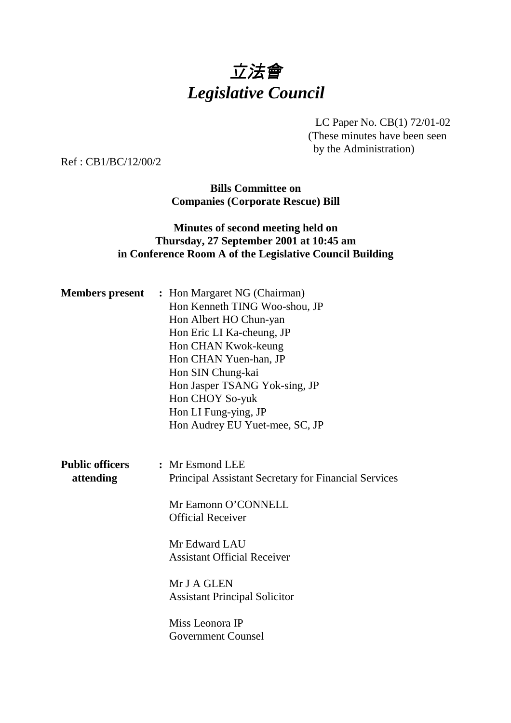# 立法會 *Legislative Council*

LC Paper No. CB(1) 72/01-02 (These minutes have been seen by the Administration)

Ref : CB1/BC/12/00/2

**Bills Committee on Companies (Corporate Rescue) Bill**

## **Minutes of second meeting held on Thursday, 27 September 2001 at 10:45 am in Conference Room A of the Legislative Council Building**

|                                     | <b>Members present</b> : Hon Margaret NG (Chairman)<br>Hon Kenneth TING Woo-shou, JP<br>Hon Albert HO Chun-yan<br>Hon Eric LI Ka-cheung, JP<br>Hon CHAN Kwok-keung<br>Hon CHAN Yuen-han, JP<br>Hon SIN Chung-kai |
|-------------------------------------|------------------------------------------------------------------------------------------------------------------------------------------------------------------------------------------------------------------|
|                                     | Hon Jasper TSANG Yok-sing, JP<br>Hon CHOY So-yuk<br>Hon LI Fung-ying, JP<br>Hon Audrey EU Yuet-mee, SC, JP                                                                                                       |
| <b>Public officers</b><br>attending | : Mr Esmond LEE<br>Principal Assistant Secretary for Financial Services                                                                                                                                          |
|                                     | Mr Eamonn O'CONNELL<br><b>Official Receiver</b>                                                                                                                                                                  |
|                                     | Mr Edward LAU<br><b>Assistant Official Receiver</b>                                                                                                                                                              |
|                                     | Mr J A GLEN<br><b>Assistant Principal Solicitor</b>                                                                                                                                                              |
|                                     | Miss Leonora IP<br><b>Government Counsel</b>                                                                                                                                                                     |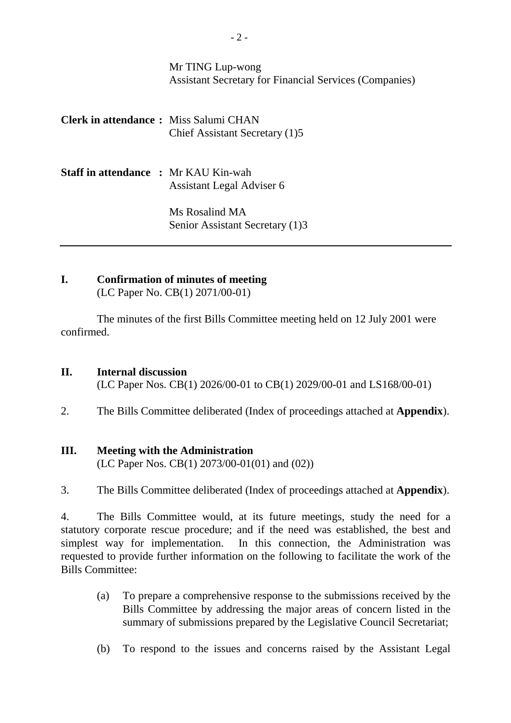## Mr TING Lup-wong Assistant Secretary for Financial Services (Companies)

| <b>Clerk in attendance:</b> Miss Salumi CHAN | Chief Assistant Secretary (1)5                    |
|----------------------------------------------|---------------------------------------------------|
| <b>Staff in attendance : Mr KAU Kin-wah</b>  | Assistant Legal Adviser 6                         |
|                                              | Ms Rosalind MA<br>Senior Assistant Secretary (1)3 |

#### **I. Confirmation of minutes of meeting** (LC Paper No. CB(1) 2071/00-01)

The minutes of the first Bills Committee meeting held on 12 July 2001 were confirmed.

#### **II. Internal discussion**

(LC Paper Nos. CB(1) 2026/00-01 to CB(1) 2029/00-01 and LS168/00-01)

2. The Bills Committee deliberated (Index of proceedings attached at **Appendix**).

#### **III. Meeting with the Administration**

(LC Paper Nos. CB(1) 2073/00-01(01) and (02))

### 3. The Bills Committee deliberated (Index of proceedings attached at **Appendix**).

4. The Bills Committee would, at its future meetings, study the need for a statutory corporate rescue procedure; and if the need was established, the best and simplest way for implementation. In this connection, the Administration was requested to provide further information on the following to facilitate the work of the Bills Committee:

- (a) To prepare a comprehensive response to the submissions received by the Bills Committee by addressing the major areas of concern listed in the summary of submissions prepared by the Legislative Council Secretariat;
- (b) To respond to the issues and concerns raised by the Assistant Legal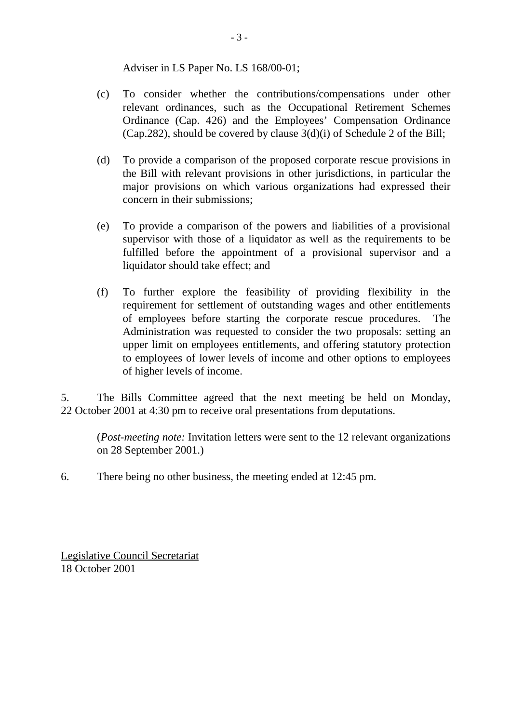Adviser in LS Paper No. LS 168/00-01;

- (c) To consider whether the contributions/compensations under other relevant ordinances, such as the Occupational Retirement Schemes Ordinance (Cap. 426) and the Employees' Compensation Ordinance (Cap.282), should be covered by clause 3(d)(i) of Schedule 2 of the Bill;
- (d) To provide a comparison of the proposed corporate rescue provisions in the Bill with relevant provisions in other jurisdictions, in particular the major provisions on which various organizations had expressed their concern in their submissions;
- (e) To provide a comparison of the powers and liabilities of a provisional supervisor with those of a liquidator as well as the requirements to be fulfilled before the appointment of a provisional supervisor and a liquidator should take effect; and
- (f) To further explore the feasibility of providing flexibility in the requirement for settlement of outstanding wages and other entitlements of employees before starting the corporate rescue procedures. The Administration was requested to consider the two proposals: setting an upper limit on employees entitlements, and offering statutory protection to employees of lower levels of income and other options to employees of higher levels of income.

5. The Bills Committee agreed that the next meeting be held on Monday, 22 October 2001 at 4:30 pm to receive oral presentations from deputations.

(*Post-meeting note:* Invitation letters were sent to the 12 relevant organizations on 28 September 2001.)

6. There being no other business, the meeting ended at 12:45 pm.

Legislative Council Secretariat 18 October 2001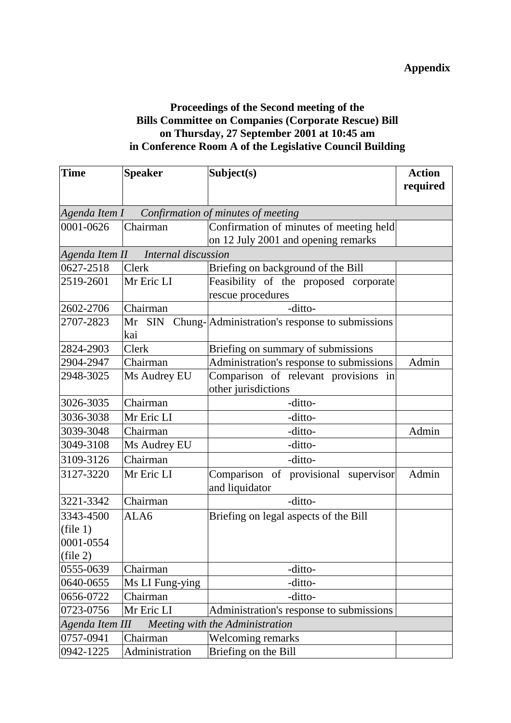## **Proceedings of the Second meeting of the Bills Committee on Companies (Corporate Rescue) Bill on Thursday, 27 September 2001 at 10:45 am in Conference Room A of the Legislative Council Building**

| <b>Time</b>                                       | <b>Speaker</b>                       | Subject(s)                                             | <b>Action</b> |
|---------------------------------------------------|--------------------------------------|--------------------------------------------------------|---------------|
|                                                   |                                      |                                                        | required      |
|                                                   |                                      |                                                        |               |
|                                                   |                                      | Agenda Item $I$ — Confirmation of minutes of meeting   |               |
| 0001-0626                                         | Chairman                             | Confirmation of minutes of meeting held                |               |
|                                                   |                                      | on 12 July 2001 and opening remarks                    |               |
|                                                   | Agenda Item II - Internal discussion |                                                        |               |
| 0627-2518                                         | Clerk                                | Briefing on background of the Bill                     |               |
| 2519-2601                                         | Mr Eric LI                           | Feasibility of the proposed corporate                  |               |
|                                                   |                                      | rescue procedures                                      |               |
| 2602-2706                                         | Chairman                             | -ditto-                                                |               |
| 2707-2823                                         | Mr SIN<br>Chung-<br>kai              | Administration's response to submissions               |               |
| 2824-2903                                         | Clerk                                | Briefing on summary of submissions                     |               |
| 2904-2947                                         | Chairman                             | Administration's response to submissions               | Admin         |
| 2948-3025                                         | Ms Audrey EU                         | Comparison of relevant provisions in                   |               |
|                                                   |                                      | other jurisdictions                                    |               |
| 3026-3035                                         | Chairman                             | -ditto-                                                |               |
| 3036-3038                                         | Mr Eric LI                           | -ditto-                                                |               |
| 3039-3048                                         | Chairman                             | -ditto-                                                | Admin         |
| 3049-3108                                         | Ms Audrey EU                         | -ditto-                                                |               |
| 3109-3126                                         | Chairman                             | -ditto-                                                |               |
| 3127-3220                                         | Mr Eric LI                           | Comparison of provisional supervisor<br>and liquidator | Admin         |
| 3221-3342                                         | Chairman                             | -ditto-                                                |               |
| 3343-4500                                         | ALA6                                 | Briefing on legal aspects of the Bill                  |               |
| (file 1)                                          |                                      |                                                        |               |
| 0001-0554                                         |                                      |                                                        |               |
| (file 2)                                          |                                      |                                                        |               |
| 0555-0639                                         | Chairman                             | -ditto-                                                |               |
| 0640-0655                                         | Ms LI Fung-ying                      | -ditto-                                                |               |
| 0656-0722                                         | Chairman                             | -ditto-                                                |               |
| 0723-0756                                         | Mr Eric LI                           | Administration's response to submissions               |               |
| Agenda Item III — Meeting with the Administration |                                      |                                                        |               |
| 0757-0941                                         | Chairman                             | Welcoming remarks                                      |               |
| 0942-1225                                         | Administration                       | Briefing on the Bill                                   |               |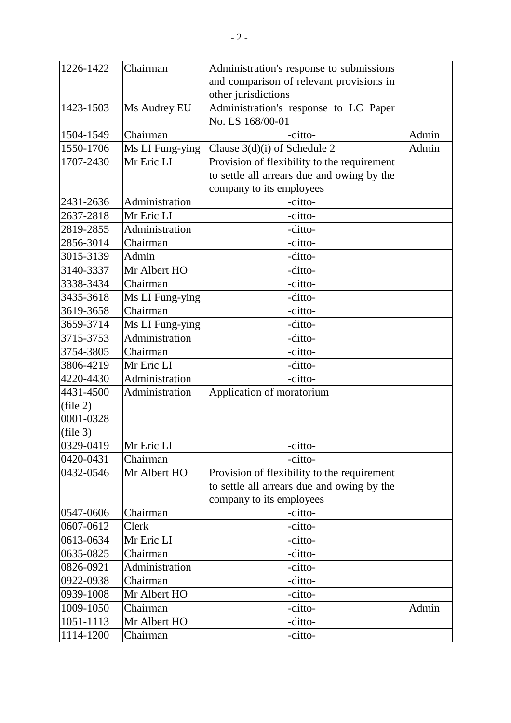| 1226-1422      | Chairman        | Administration's response to submissions    |       |
|----------------|-----------------|---------------------------------------------|-------|
|                |                 | and comparison of relevant provisions in    |       |
|                |                 | other jurisdictions                         |       |
| 1423-1503      | Ms Audrey EU    | Administration's response to LC Paper       |       |
|                |                 | No. LS 168/00-01                            |       |
| 1504-1549      | Chairman        | -ditto-                                     | Admin |
| 1550-1706      | Ms LI Fung-ying | Clause $3(d)(i)$ of Schedule 2              | Admin |
| 1707-2430      | Mr Eric LI      | Provision of flexibility to the requirement |       |
|                |                 | to settle all arrears due and owing by the  |       |
|                |                 | company to its employees                    |       |
| 2431-2636      | Administration  | -ditto-                                     |       |
| 2637-2818      | Mr Eric LI      | -ditto-                                     |       |
| 2819-2855      | Administration  | -ditto-                                     |       |
| 2856-3014      | Chairman        | -ditto-                                     |       |
| 3015-3139      | Admin           | -ditto-                                     |       |
| 3140-3337      | Mr Albert HO    | -ditto-                                     |       |
| 3338-3434      | Chairman        | -ditto-                                     |       |
| 3435-3618      | Ms LI Fung-ying | -ditto-                                     |       |
| 3619-3658      | Chairman        | -ditto-                                     |       |
| 3659-3714      | Ms LI Fung-ying | -ditto-                                     |       |
| 3715-3753      | Administration  | -ditto-                                     |       |
| 3754-3805      | Chairman        | -ditto-                                     |       |
| 3806-4219      | Mr Eric LI      | -ditto-                                     |       |
| 4220-4430      | Administration  | -ditto-                                     |       |
| 4431-4500      | Administration  | Application of moratorium                   |       |
| (file 2)       |                 |                                             |       |
| 0001-0328      |                 |                                             |       |
| (file 3)       |                 |                                             |       |
| 0329-0419      | Mr Eric LI      | -ditto-                                     |       |
| $ 0420 - 0431$ | Chairman        | -ditto-                                     |       |
| 0432-0546      | Mr Albert HO    | Provision of flexibility to the requirement |       |
|                |                 | to settle all arrears due and owing by the  |       |
|                |                 | company to its employees                    |       |
| 0547-0606      | Chairman        | -ditto-                                     |       |
| 0607-0612      | Clerk           | -ditto-                                     |       |
| 0613-0634      | Mr Eric LI      | -ditto-                                     |       |
| 0635-0825      | Chairman        | -ditto-                                     |       |
| 0826-0921      | Administration  | -ditto-                                     |       |
| 0922-0938      | Chairman        | -ditto-                                     |       |
| 0939-1008      | Mr Albert HO    | -ditto-                                     |       |
| 1009-1050      | Chairman        | -ditto-                                     | Admin |
| 1051-1113      | Mr Albert HO    | -ditto-                                     |       |
| 1114-1200      | Chairman        | -ditto-                                     |       |